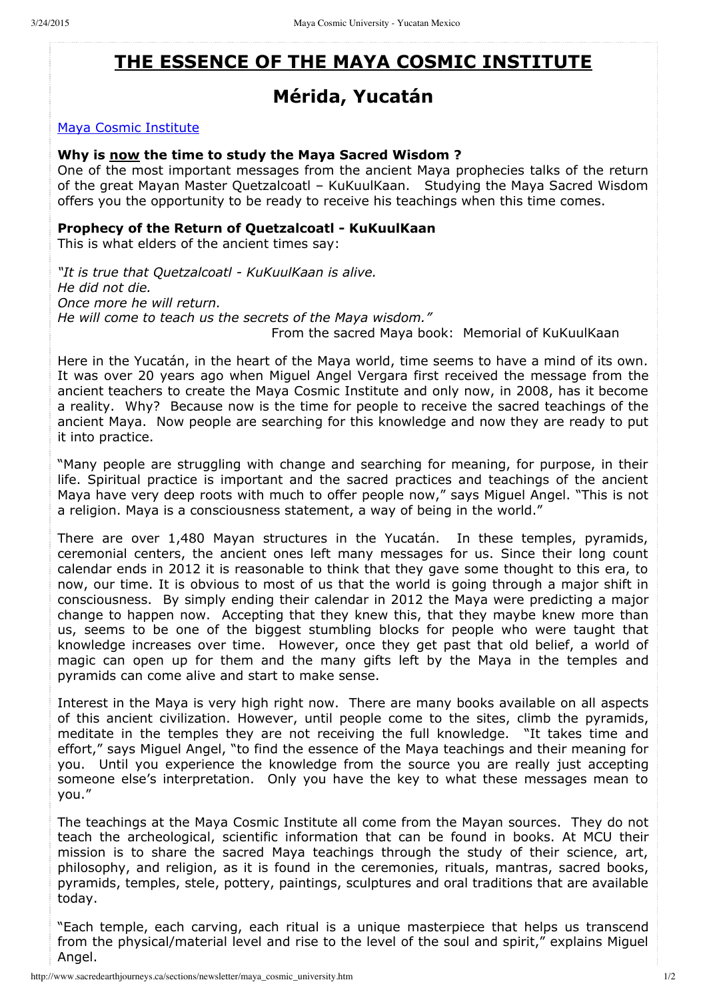# **THE ESSENCE OF THE MAYA COSMIC INSTITUTE**

## **Mérida, Yucatán**

#### Maya Cosmic Institute

#### **Why is now the time to study the Maya Sacred Wisdom ?**

One of the most important messages from the ancient Maya prophecies talks of the return of the great Mayan Master Quetzalcoatl – KuKuulKaan. Studying the Maya Sacred Wisdom offers you the opportunity to be ready to receive his teachings when this time comes.

### **Prophecy of the Return of Quetzalcoatl KuKuulKaan**

This is what elders of the ancient times say:

*"It is true that Quetzalcoatl KuKuulKaan is alive. He did not die. Once more he will return. He will come to teach us the secrets of the Maya wisdom."* From the sacred Maya book: Memorial of KuKuulKaan

Here in the Yucatán, in the heart of the Maya world, time seems to have a mind of its own. It was over 20 years ago when Miguel Angel Vergara first received the message from the ancient teachers to create the Maya Cosmic Institute and only now, in 2008, has it become a reality. Why? Because now is the time for people to receive the sacred teachings of the ancient Maya. Now people are searching for this knowledge and now they are ready to put it into practice.

"Many people are struggling with change and searching for meaning, for purpose, in their life. Spiritual practice is important and the sacred practices and teachings of the ancient Maya have very deep roots with much to offer people now," says Miguel Angel. "This is not a religion. Maya is a consciousness statement, a way of being in the world."

There are over 1,480 Mayan structures in the Yucatán. In these temples, pyramids, ceremonial centers, the ancient ones left many messages for us. Since their long count calendar ends in 2012 it is reasonable to think that they gave some thought to this era, to now, our time. It is obvious to most of us that the world is going through a major shift in consciousness. By simply ending their calendar in 2012 the Maya were predicting a major change to happen now. Accepting that they knew this, that they maybe knew more than us, seems to be one of the biggest stumbling blocks for people who were taught that knowledge increases over time. However, once they get past that old belief, a world of magic can open up for them and the many gifts left by the Maya in the temples and pyramids can come alive and start to make sense.

Interest in the Maya is very high right now. There are many books available on all aspects of this ancient civilization. However, until people come to the sites, climb the pyramids, meditate in the temples they are not receiving the full knowledge. "It takes time and effort," says Miguel Angel, "to find the essence of the Maya teachings and their meaning for you. Until you experience the knowledge from the source you are really just accepting someone else's interpretation. Only you have the key to what these messages mean to you."

The teachings at the Maya Cosmic Institute all come from the Mayan sources. They do not teach the archeological, scientific information that can be found in books. At MCU their mission is to share the sacred Maya teachings through the study of their science, art, philosophy, and religion, as it is found in the ceremonies, rituals, mantras, sacred books, pyramids, temples, stele, pottery, paintings, sculptures and oral traditions that are available today.

"Each temple, each carving, each ritual is a unique masterpiece that helps us transcend from the physical/material level and rise to the level of the soul and spirit," explains Miguel Angel.